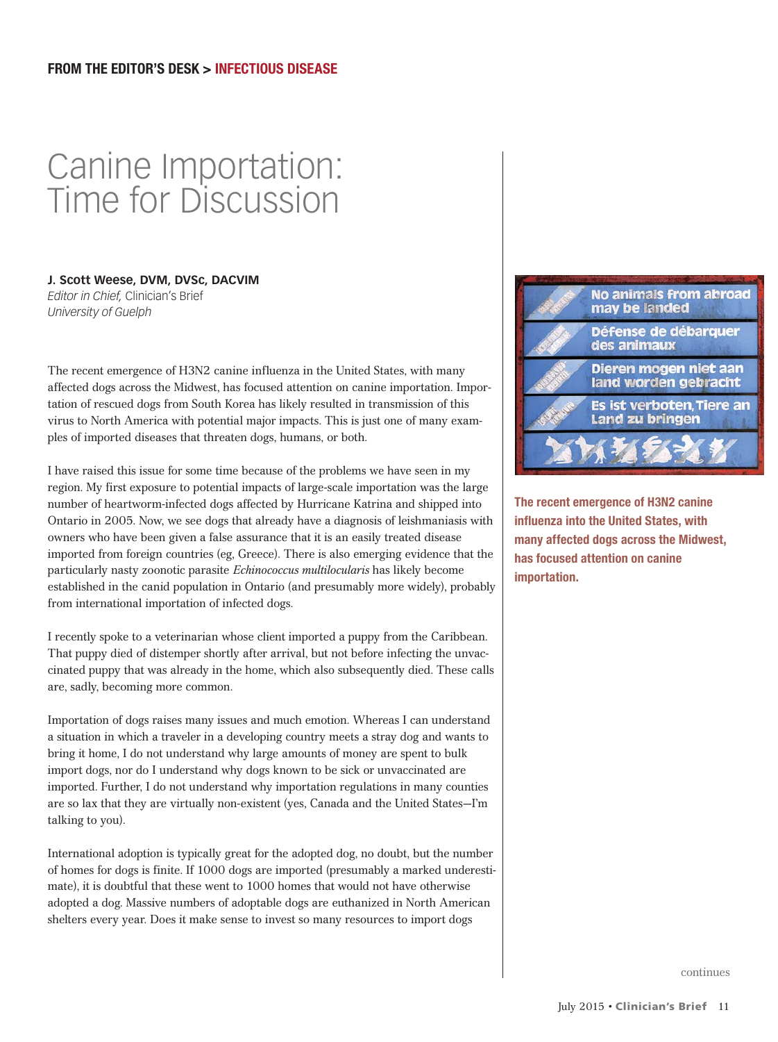## Canine Importation: Time for Discussion

## **J. Scott Weese, DVM, DVSc, DACVIM**

*Editor in Chief,* Clinician's Brief *University of Guelph* 

The recent emergence of H3N2 canine influenza in the United States, with many affected dogs across the Midwest, has focused attention on canine importation. Importation of rescued dogs from South Korea has likely resulted in transmission of this virus to North America with potential major impacts. This is just one of many examples of imported diseases that threaten dogs, humans, or both.

I have raised this issue for some time because of the problems we have seen in my region. My first exposure to potential impacts of large-scale importation was the large number of heartworm-infected dogs affected by Hurricane Katrina and shipped into Ontario in 2005. Now, we see dogs that already have a diagnosis of leishmaniasis with owners who have been given a false assurance that it is an easily treated disease imported from foreign countries (eg, Greece). There is also emerging evidence that the particularly nasty zoonotic parasite *Echinococcus multilocularis* has likely become established in the canid population in Ontario (and presumably more widely), probably from international importation of infected dogs.

I recently spoke to a veterinarian whose client imported a puppy from the Caribbean. That puppy died of distemper shortly after arrival, but not before infecting the unvaccinated puppy that was already in the home, which also subsequently died. These calls are, sadly, becoming more common.

Importation of dogs raises many issues and much emotion. Whereas I can understand a situation in which a traveler in a developing country meets a stray dog and wants to bring it home, I do not understand why large amounts of money are spent to bulk import dogs, nor do I understand why dogs known to be sick or unvaccinated are imported. Further, I do not understand why importation regulations in many counties are so lax that they are virtually non-existent (yes, Canada and the United States—I'm talking to you).

International adoption is typically great for the adopted dog, no doubt, but the number of homes for dogs is finite. If 1000 dogs are imported (presumably a marked underestimate), it is doubtful that these went to 1000 homes that would not have otherwise adopted a dog. Massive numbers of adoptable dogs are euthanized in North American shelters every year. Does it make sense to invest so many resources to import dogs



The recent emergence of H3N2 canine influenza into the United States, with many affected dogs across the Midwest, has focused attention on canine importation.